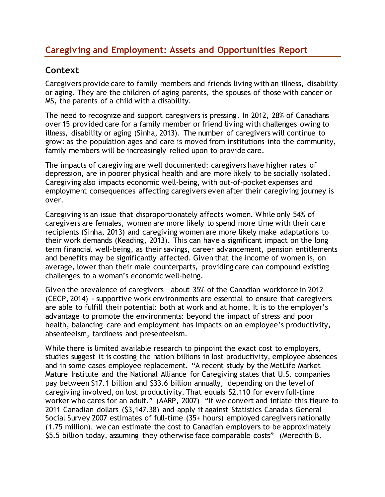# **Caregiving and Employment: Assets and Opportunities Report**

# **Context**

Caregivers provide care to family members and friends living with an illness, disability or aging. They are the children of aging parents, the spouses of those with cancer or MS, the parents of a child with a disability.

The need to recognize and support caregivers is pressing. In 2012, 28% of Canadians over 15 provided care for a family member or friend living with challenges owing to illness, disability or aging (Sinha, 2013). The number of caregivers will continue to grow: as the population ages and care is moved from institutions into the community, family members will be increasingly relied upon to provide care.

The impacts of caregiving are well documented: caregivers have higher rates of depression, are in poorer physical health and are more likely to be socially isolated. Caregiving also impacts economic well-being, with out-of-pocket expenses and employment consequences affecting caregivers even after their caregiving journey is over.

Caregiving is an issue that disproportionately affects women. While only 54% of caregivers are females, women are more likely to spend more time with their care recipients (Sinha, 2013) and caregiving women are more likely make adaptations to their work demands (Keading, 2013). This can have a significant impact on the long term financial well-being, as their savings, career advancement, pension entitlements and benefits may be significantly affected. Given that the income of women is, on average, lower than their male counterparts, providing care can compound existing challenges to a woman's economic well-being.

Given the prevalence of caregivers – about 35% of the Canadian workforce in 2012 (CECP, 2014) - supportive work environments are essential to ensure that caregivers are able to fulfill their potential: both at work and at home. It is to the employer's advantage to promote the environments: beyond the impact of stress and poor health, balancing care and employment has impacts on an employee's productivity, absenteeism, tardiness and presenteeism.

While there is limited available research to pinpoint the exact cost to employers, studies suggest it is costing the nation billions in lost productivity, employee absences and in some cases employee replacement. "A recent study by the MetLife Market Mature Institute and the National Alliance for Caregiving states that U.S. companies pay between \$17.1 billion and \$33.6 billion annually, depending on the level of caregiving involved, on lost productivity. That equals \$2,110 for every full-time worker who cares for an adult." (AARP, 2007) "If we convert and inflate this figure to 2011 Canadian dollars (\$3,147.38) and apply it against Statistics Canada's General Social Survey 2007 estimates of full-time (35+ hours) employed caregivers nationally (1.75 million), we can estimate the cost to Canadian employers to be approximately \$5.5 billion today, assuming they otherwise face comparable costs" (Meredith B.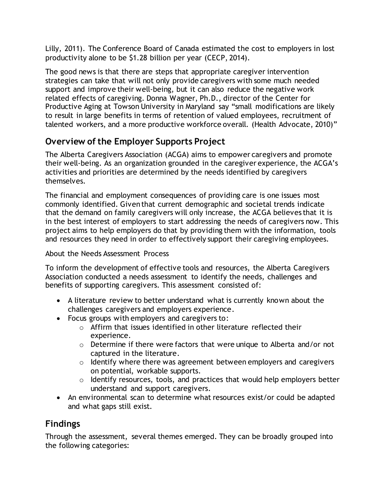Lilly, 2011). The Conference Board of Canada estimated the cost to employers in lost productivity alone to be \$1.28 billion per year (CECP, 2014).

The good news is that there are steps that appropriate caregiver intervention strategies can take that will not only provide caregivers with some much needed support and improve their well-being, but it can also reduce the negative work related effects of caregiving. Donna Wagner, Ph.D., director of the Center for Productive Aging at Towson University in Maryland say "small modifications are likely to result in large benefits in terms of retention of valued employees, recruitment of talented workers, and a more productive workforce overall. (Health Advocate, 2010)"

# **Overview of the Employer Supports Project**

The Alberta Caregivers Association (ACGA) aims to empower caregivers and promote their well-being. As an organization grounded in the caregiver experience, the ACGA's activities and priorities are determined by the needs identified by caregivers themselves.

The financial and employment consequences of providing care is one issues most commonly identified. Given that current demographic and societal trends indicate that the demand on family caregivers will only increase, the ACGA believes that it is in the best interest of employers to start addressing the needs of caregivers now. This project aims to help employers do that by providing them with the information, tools and resources they need in order to effectively support their caregiving employees.

About the Needs Assessment Process

To inform the development of effective tools and resources, the Alberta Caregivers Association conducted a needs assessment to identify the needs, challenges and benefits of supporting caregivers. This assessment consisted of:

- A literature review to better understand what is currently known about the challenges caregivers and employers experience.
- Focus groups with employers and caregivers to:
	- $\circ$  Affirm that issues identified in other literature reflected their experience.
	- o Determine if there were factors that were unique to Alberta and/or not captured in the literature.
	- $\circ$  Identify where there was agreement between employers and caregivers on potential, workable supports.
	- o Identify resources, tools, and practices that would help employers better understand and support caregivers.
- An environmental scan to determine what resources exist/or could be adapted and what gaps still exist.

# **Findings**

Through the assessment, several themes emerged. They can be broadly grouped into the following categories: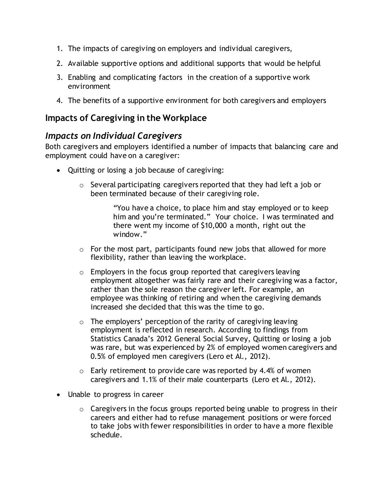- 1. The impacts of caregiving on employers and individual caregivers,
- 2. Available supportive options and additional supports that would be helpful
- 3. Enabling and complicating factors in the creation of a supportive work environment
- 4. The benefits of a supportive environment for both caregivers and employers

## **Impacts of Caregiving in the Workplace**

### *Impacts on Individual Caregivers*

Both caregivers and employers identified a number of impacts that balancing care and employment could have on a caregiver:

- Quitting or losing a job because of caregiving:
	- $\circ$  Several participating caregivers reported that they had left a job or been terminated because of their caregiving role.

"You have a choice, to place him and stay employed or to keep him and you're terminated." Your choice. I was terminated and there went my income of \$10,000 a month, right out the window."

- $\circ$  For the most part, participants found new jobs that allowed for more flexibility, rather than leaving the workplace.
- $\circ$  Employers in the focus group reported that caregivers leaving employment altogether was fairly rare and their caregiving was a factor, rather than the sole reason the caregiver left. For example, an employee was thinking of retiring and when the caregiving demands increased she decided that this was the time to go.
- $\circ$  The employers' perception of the rarity of caregiving leaving employment is reflected in research. According to findings from Statistics Canada's 2012 General Social Survey, Quitting or losing a job was rare, but was experienced by 2% of employed women caregivers and 0.5% of employed men caregivers (Lero et Al., 2012).
- $\circ$  Early retirement to provide care was reported by 4.4% of women caregivers and 1.1% of their male counterparts (Lero et Al., 2012).
- Unable to progress in career
	- $\circ$  Caregivers in the focus groups reported being unable to progress in their careers and either had to refuse management positions or were forced to take jobs with fewer responsibilities in order to have a more flexible schedule.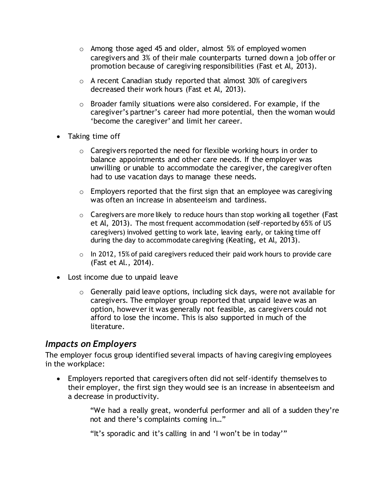- o Among those aged 45 and older, almost 5% of employed women caregivers and 3% of their male counterparts turned down a job offer or promotion because of caregiving responsibilities (Fast et Al, 2013).
- o A recent Canadian study reported that almost 30% of caregivers decreased their work hours (Fast et Al, 2013).
- o Broader family situations were also considered. For example, if the caregiver's partner's career had more potential, then the woman would 'become the caregiver' and limit her career.
- Taking time off
	- $\circ$  Caregivers reported the need for flexible working hours in order to balance appointments and other care needs. If the employer was unwilling or unable to accommodate the caregiver, the caregiver often had to use vacation days to manage these needs.
	- $\circ$  Employers reported that the first sign that an employee was caregiving was often an increase in absenteeism and tardiness.
	- $\circ$  Caregivers are more likely to reduce hours than stop working all together (Fast et Al, 2013). The most frequent accommodation (self-reported by 65% of US caregivers) involved getting to work late, leaving early, or taking time off during the day to accommodate caregiving (Keating, et Al, 2013).
	- $\circ$  In 2012, 15% of paid caregivers reduced their paid work hours to provide care (Fast et Al., 2014).
- Lost income due to unpaid leave
	- $\circ$  Generally paid leave options, including sick days, were not available for caregivers. The employer group reported that unpaid leave was an option, however it was generally not feasible, as caregivers could not afford to lose the income. This is also supported in much of the literature.

### *Impacts on Employers*

The employer focus group identified several impacts of having caregiving employees in the workplace:

 Employers reported that caregivers often did not self-identify themselves to their employer, the first sign they would see is an increase in absenteeism and a decrease in productivity.

> "We had a really great, wonderful performer and all of a sudden they're not and there's complaints coming in…"

"It's sporadic and it's calling in and 'I won't be in today'"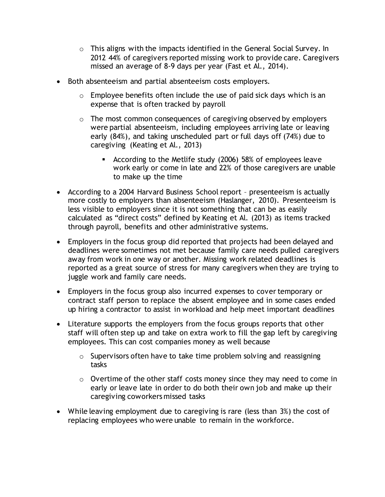- o This aligns with the impacts identified in the General Social Survey. In 2012 44% of caregivers reported missing work to provide care. Caregivers missed an average of 8-9 days per year (Fast et Al., 2014).
- Both absenteeism and partial absenteeism costs employers.
	- $\circ$  Employee benefits often include the use of paid sick days which is an expense that is often tracked by payroll
	- $\circ$  The most common consequences of caregiving observed by employers were partial absenteeism, including employees arriving late or leaving early (84%), and taking unscheduled part or full days off (74%) due to caregiving (Keating et Al., 2013)
		- According to the Metlife study (2006) 58% of employees leave work early or come in late and 22% of those caregivers are unable to make up the time
- According to a 2004 Harvard Business School report presenteeism is actually more costly to employers than absenteeism (Haslanger, 2010). Presenteeism is less visible to employers since it is not something that can be as easily calculated as "direct costs" defined by Keating et Al. (2013) as items tracked through payroll, benefits and other administrative systems.
- Employers in the focus group did reported that projects had been delayed and deadlines were sometimes not met because family care needs pulled caregivers away from work in one way or another. Missing work related deadlines is reported as a great source of stress for many caregivers when they are trying to juggle work and family care needs.
- Employers in the focus group also incurred expenses to cover temporary or contract staff person to replace the absent employee and in some cases ended up hiring a contractor to assist in workload and help meet important deadlines
- Literature supports the employers from the focus groups reports that other staff will often step up and take on extra work to fill the gap left by caregiving employees. This can cost companies money as well because
	- $\circ$  Supervisors often have to take time problem solving and reassigning tasks
	- o Overtime of the other staff costs money since they may need to come in early or leave late in order to do both their own job and make up their caregiving coworkers missed tasks
- While leaving employment due to caregiving is rare (less than 3%) the cost of replacing employees who were unable to remain in the workforce.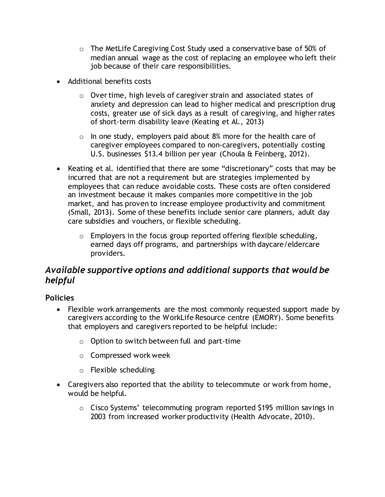- o The MetLife Caregiving Cost Study used a conservative base of 50% of median annual wage as the cost of replacing an employee who left their job because of their care responsibilities.
- Additional benefits costs
	- o Over time, high levels of caregiver strain and associated states of anxiety and depression can lead to higher medical and prescription drug costs, greater use of sick days as a result of caregiving, and higher rates of short-term disability leave (Keating et Al., 2013)
	- $\circ$  In one study, employers paid about 8% more for the health care of caregiver employees compared to non-caregivers, potentially costing U.S. businesses \$13.4 billion per year (Choula & Feinberg, 2012).
- Keating et al. identified that there are some "discretionary" costs that may be incurred that are not a requirement but are strategies implemented by employees that can reduce avoidable costs. These costs are often considered an investment because it makes companies more competitive in the job market, and has proven to increase employee productivity and commitment (Small, 2013). Some of these benefits include senior care planners, adult day care subsidies and vouchers, or flexible scheduling.
	- $\circ$  Employers in the focus group reported offering flexible scheduling, earned days off programs, and partnerships with daycare/eldercare providers.

# *Available supportive options and additional supports that would be helpful*

### **Policies**

- Flexible work arrangements are the most commonly requested support made by caregivers according to the WorkLife Resource centre (EMORY). Some benefits that employers and caregivers reported to be helpful include:
	- o Option to switch between full and part-time
	- o Compressed work week
	- o Flexible scheduling
- Caregivers also reported that the ability to telecommute or work from home, would be helpful.
	- o Cisco Systems' telecommuting program reported \$195 million savings in 2003 from increased worker productivity (Health Advocate, 2010).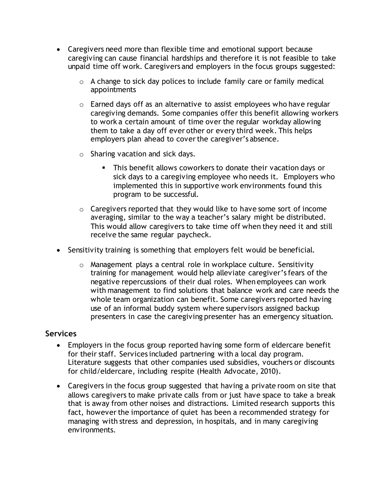- Caregivers need more than flexible time and emotional support because caregiving can cause financial hardships and therefore it is not feasible to take unpaid time off work. Caregivers and employers in the focus groups suggested:
	- $\circ$  A change to sick day polices to include family care or family medical appointments
	- $\circ$  Earned days off as an alternative to assist employees who have regular caregiving demands. Some companies offer this benefit allowing workers to work a certain amount of time over the regular workday allowing them to take a day off ever other or every third week. This helps employers plan ahead to cover the caregiver's absence.
	- $\circ$  Sharing vacation and sick days.
		- This benefit allows coworkers to donate their vacation days or sick days to a caregiving employee who needs it. Employers who implemented this in supportive work environments found this program to be successful.
	- $\circ$  Caregivers reported that they would like to have some sort of income averaging, similar to the way a teacher's salary might be distributed. This would allow caregivers to take time off when they need it and still receive the same regular paycheck.
- Sensitivity training is something that employers felt would be beneficial.
	- o Management plays a central role in workplace culture. Sensitivity training for management would help alleviate caregiver's fears of the negative repercussions of their dual roles. When employees can work with management to find solutions that balance work and care needs the whole team organization can benefit. Some caregivers reported having use of an informal buddy system where supervisors assigned backup presenters in case the caregiving presenter has an emergency situation.

#### **Services**

- Employers in the focus group reported having some form of eldercare benefit for their staff. Services included partnering with a local day program. Literature suggests that other companies used subsidies, vouchers or discounts for child/eldercare, including respite (Health Advocate, 2010).
- Caregivers in the focus group suggested that having a private room on site that allows caregivers to make private calls from or just have space to take a break that is away from other noises and distractions. Limited research supports this fact, however the importance of quiet has been a recommended strategy for managing with stress and depression, in hospitals, and in many caregiving environments.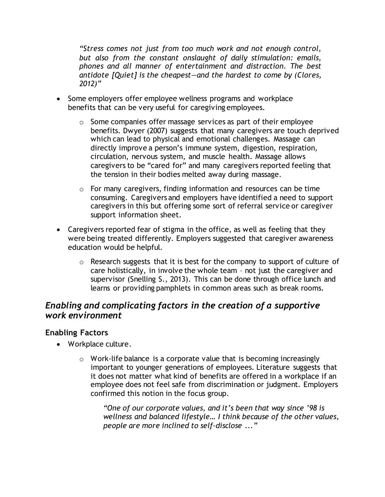*"Stress comes not just from too much work and not enough control, but also from the constant onslaught of daily stimulation: emails, phones and all manner of entertainment and distraction. The best antidote [Quiet] is the cheapest—and the hardest to come by (Clores, 2012)"* 

- Some employers offer employee wellness programs and workplace benefits that can be very useful for caregiving employees.
	- o Some companies offer massage services as part of their employee benefits. Dwyer (2007) suggests that many caregivers are touch deprived which can lead to physical and emotional challenges. Massage can directly improve a person's immune system, digestion, respiration, circulation, nervous system, and muscle health. Massage allows caregivers to be "cared for" and many caregivers reported feeling that the tension in their bodies melted away during massage.
	- o For many caregivers, finding information and resources can be time consuming. Caregivers and employers have identified a need to support caregivers in this but offering some sort of referral service or caregiver support information sheet.
- Caregivers reported fear of stigma in the office, as well as feeling that they were being treated differently. Employers suggested that caregiver awareness education would be helpful.
	- $\circ$  Research suggests that it is best for the company to support of culture of care holistically, in involve the whole team – not just the caregiver and supervisor (Snelling S., 2013). This can be done through office lunch and learns or providing pamphlets in common areas such as break rooms.

## *Enabling and complicating factors in the creation of a supportive work environment*

#### **Enabling Factors**

- Workplace culture.
	- $\circ$  Work-life balance is a corporate value that is becoming increasingly important to younger generations of employees. Literature suggests that it does not matter what kind of benefits are offered in a workplace if an employee does not feel safe from discrimination or judgment. Employers confirmed this notion in the focus group.

*"One of our corporate values, and it's been that way since '98 is wellness and balanced lifestyle… I think because of the other values, people are more inclined to self-disclose ..."*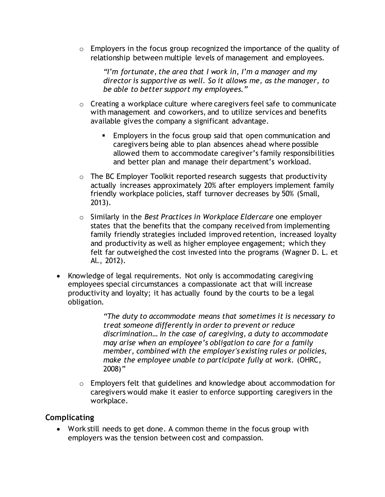$\circ$  Employers in the focus group recognized the importance of the quality of relationship between multiple levels of management and employees.

*"I'm fortunate, the area that I work in, I'm a manager and my director is supportive as well. So it allows me, as the manager, to be able to better support my employees."*

- o Creating a workplace culture where caregivers feel safe to communicate with management and coworkers, and to utilize services and benefits available gives the company a significant advantage.
	- **Employers in the focus group said that open communication and** caregivers being able to plan absences ahead where possible allowed them to accommodate caregiver's family responsibilities and better plan and manage their department's workload.
- o The BC Employer Toolkit reported research suggests that productivity actually increases approximately 20% after employers implement family friendly workplace policies, staff turnover decreases by 50% (Small, 2013).
- o Similarly in the *Best Practices in Workplace Eldercare* one employer states that the benefits that the company received from implementing family friendly strategies included improved retention, increased loyalty and productivity as well as higher employee engagement; which they felt far outweighed the cost invested into the programs (Wagner D. L. et Al., 2012).
- Knowledge of legal requirements. Not only is accommodating caregiving employees special circumstances a compassionate act that will increase productivity and loyalty; it has actually found by the courts to be a legal obligation.

*"The duty to accommodate means that sometimes it is necessary to treat someone differently in order to prevent or reduce discrimination… In the case of caregiving, a duty to accommodate may arise when an employee's obligation to care for a family member, combined with the employer's existing rules or policies, make the employee unable to participate fully at work.* (OHRC, 2008)*"*

o Employers felt that guidelines and knowledge about accommodation for caregivers would make it easier to enforce supporting caregivers in the workplace.

#### **Complicating**

 Work still needs to get done. A common theme in the focus group with employers was the tension between cost and compassion.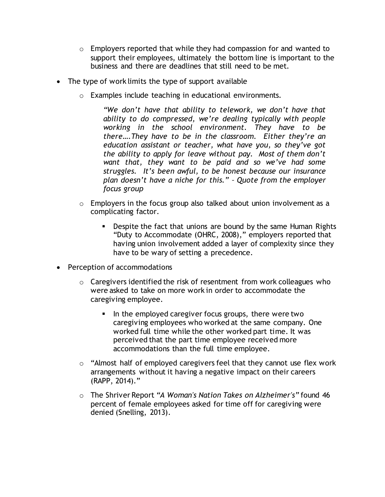- $\circ$  Employers reported that while they had compassion for and wanted to support their employees, ultimately the bottom line is important to the business and there are deadlines that still need to be met.
- The type of work limits the type of support available
	- o Examples include teaching in educational environments.

*"We don't have that ability to telework, we don't have that ability to do compressed, we're dealing typically with people working in the school environment. They have to be there….They have to be in the classroom. Either they're an education assistant or teacher, what have you, so they've got the ability to apply for leave without pay. Most of them don't want that, they want to be paid and so we've had some struggles. It's been awful, to be honest because our insurance plan doesn't have a niche for this." – Quote from the employer focus group* 

- $\circ$  Employers in the focus group also talked about union involvement as a complicating factor.
	- **•** Despite the fact that unions are bound by the same Human Rights "Duty to Accommodate (OHRC, 2008)," employers reported that having union involvement added a layer of complexity since they have to be wary of setting a precedence.
- Perception of accommodations
	- $\circ$  Caregivers identified the risk of resentment from work colleagues who were asked to take on more work in order to accommodate the caregiving employee.
		- In the employed caregiver focus groups, there were two caregiving employees who worked at the same company. One worked full time while the other worked part time. It was perceived that the part time employee received more accommodations than the full time employee.
	- $\circ$  "Almost half of employed caregivers feel that they cannot use flex work arrangements without it having a negative impact on their careers (RAPP, 2014)."
	- o The Shriver Report *"A Woman's Nation Takes on Alzheimer's"* found 46 percent of female employees asked for time off for caregiving were denied (Snelling, 2013).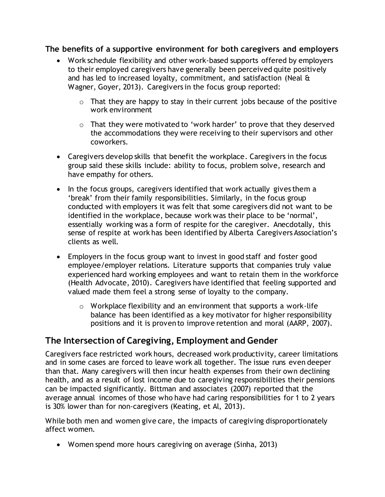#### **The benefits of a supportive environment for both caregivers and employers**

- Work schedule flexibility and other work-based supports offered by employers to their employed caregivers have generally been perceived quite positively and has led to increased loyalty, commitment, and satisfaction (Neal & Wagner, Goyer, 2013). Caregivers in the focus group reported:
	- $\circ$  That they are happy to stay in their current jobs because of the positive work environment
	- o That they were motivated to 'work harder' to prove that they deserved the accommodations they were receiving to their supervisors and other coworkers.
- Caregivers develop skills that benefit the workplace. Caregivers in the focus group said these skills include: ability to focus, problem solve, research and have empathy for others.
- In the focus groups, caregivers identified that work actually gives them a 'break' from their family responsibilities. Similarly, in the focus group conducted with employers it was felt that some caregivers did not want to be identified in the workplace, because work was their place to be 'normal', essentially working was a form of respite for the caregiver. Anecdotally, this sense of respite at work has been identified by Alberta Caregivers Association's clients as well.
- Employers in the focus group want to invest in good staff and foster good employee/employer relations. Literature supports that companies truly value experienced hard working employees and want to retain them in the workforce (Health Advocate, 2010). Caregivers have identified that feeling supported and valued made them feel a strong sense of loyalty to the company.
	- $\circ$  Workplace flexibility and an environment that supports a work-life balance has been identified as a key motivator for higher responsibility positions and it is proven to improve retention and moral (AARP, 2007).

# **The Intersection of Caregiving, Employment and Gender**

Caregivers face restricted work hours, decreased work productivity, career limitations and in some cases are forced to leave work all together. The issue runs even deeper than that. Many caregivers will then incur health expenses from their own declining health, and as a result of lost income due to caregiving responsibilities their pensions can be impacted significantly. Bittman and associates (2007) reported that the average annual incomes of those who have had caring responsibilities for 1 to 2 years is 30% lower than for non-caregivers (Keating, et Al, 2013).

While both men and women give care, the impacts of caregiving disproportionately affect women.

Women spend more hours caregiving on average (Sinha, 2013)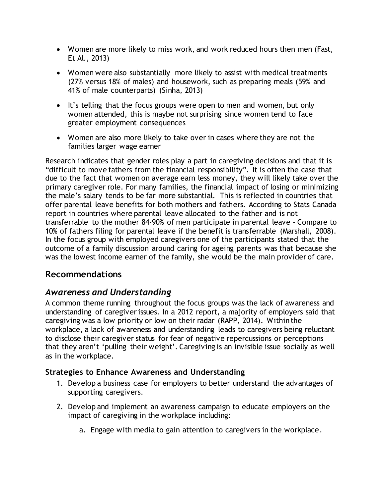- Women are more likely to miss work, and work reduced hours then men (Fast, Et Al., 2013)
- Women were also substantially more likely to assist with medical treatments (27% versus 18% of males) and housework, such as preparing meals (59% and 41% of male counterparts) (Sinha, 2013)
- It's telling that the focus groups were open to men and women, but only women attended, this is maybe not surprising since women tend to face greater employment consequences
- Women are also more likely to take over in cases where they are not the families larger wage earner

Research indicates that gender roles play a part in caregiving decisions and that it is "difficult to move fathers from the financial responsibility". It is often the case that due to the fact that women on average earn less money, they will likely take over the primary caregiver role. For many families, the financial impact of losing or minimizing the male's salary tends to be far more substantial. This is reflected in countries that offer parental leave benefits for both mothers and fathers. According to Stats Canada report in countries where parental leave allocated to the father and is not transferrable to the mother 84-90% of men participate in parental leave - Compare to 10% of fathers filing for parental leave if the benefit is transferrable (Marshall, 2008). In the focus group with employed caregivers one of the participants stated that the outcome of a family discussion around caring for ageing parents was that because she was the lowest income earner of the family, she would be the main provider of care.

# **Recommendations**

# *Awareness and Understanding*

A common theme running throughout the focus groups was the lack of awareness and understanding of caregiver issues. In a 2012 report, a majority of employers said that caregiving was a low priority or low on their radar (RAPP, 2014). Within the workplace, a lack of awareness and understanding leads to caregivers being reluctant to disclose their caregiver status for fear of negative repercussions or perceptions that they aren't 'pulling their weight'. Caregiving is an invisible issue socially as well as in the workplace.

### **Strategies to Enhance Awareness and Understanding**

- 1. Develop a business case for employers to better understand the advantages of supporting caregivers.
- 2. Develop and implement an awareness campaign to educate employers on the impact of caregiving in the workplace including:
	- a. Engage with media to gain attention to caregivers in the workplace.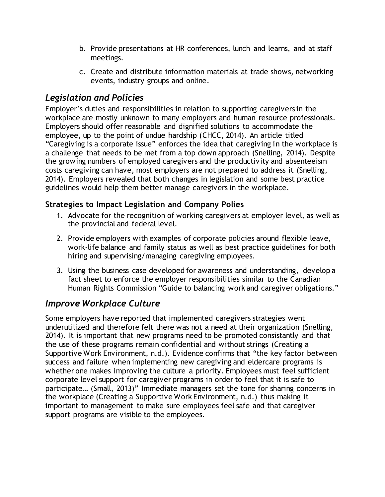- b. Provide presentations at HR conferences, lunch and learns, and at staff meetings.
- c. Create and distribute information materials at trade shows, networking events, industry groups and online.

# *Legislation and Policies*

Employer's duties and responsibilities in relation to supporting caregivers in the workplace are mostly unknown to many employers and human resource professionals. Employers should offer reasonable and dignified solutions to accommodate the employee, up to the point of undue hardship (CHCC, 2014). An article titled "Caregiving is a corporate issue" enforces the idea that caregiving in the workplace is a challenge that needs to be met from a top down approach (Snelling, 2014). Despite the growing numbers of employed caregivers and the productivity and absenteeism costs caregiving can have, most employers are not prepared to address it (Snelling, 2014). Employers revealed that both changes in legislation and some best practice guidelines would help them better manage caregivers in the workplace.

### **Strategies to Impact Legislation and Company Polies**

- 1. Advocate for the recognition of working caregivers at employer level, as well as the provincial and federal level.
- 2. Provide employers with examples of corporate policies around flexible leave, work-life balance and family status as well as best practice guidelines for both hiring and supervising/managing caregiving employees.
- 3. Using the business case developed for awareness and understanding, develop a fact sheet to enforce the employer responsibilities similar to the Canadian Human Rights Commission "Guide to balancing work and caregiver obligations."

# *Improve Workplace Culture*

Some employers have reported that implemented caregivers strategies went underutilized and therefore felt there was not a need at their organization (Snelling, 2014). It is important that new programs need to be promoted consistantly and that the use of these programs remain confidential and without strings (Creating a Supportive Work Environment, n.d.). Evidence confirms that "the key factor between success and failure when implementing new caregiving and eldercare programs is whether one makes improving the culture a priority. Employees must feel sufficient corporate level support for caregiver programs in order to feel that it is safe to participate… (Small, 2013)" Immediate managers set the tone for sharing concerns in the workplace (Creating a Supportive Work Environment, n.d.) thus making it important to management to make sure employees feel safe and that caregiver support programs are visible to the employees.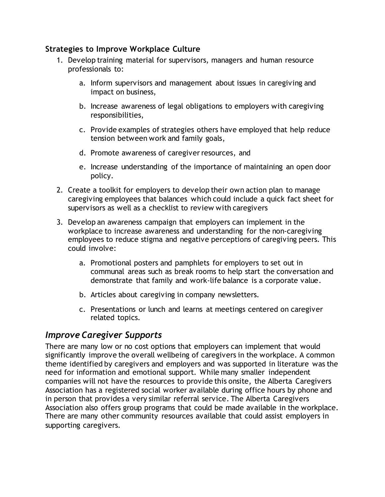#### **Strategies to Improve Workplace Culture**

- 1. Develop training material for supervisors, managers and human resource professionals to:
	- a. Inform supervisors and management about issues in caregiving and impact on business,
	- b. Increase awareness of legal obligations to employers with caregiving responsibilities,
	- c. Provide examples of strategies others have employed that help reduce tension between work and family goals,
	- d. Promote awareness of caregiver resources, and
	- e. Increase understanding of the importance of maintaining an open door policy.
- 2. Create a toolkit for employers to develop their own action plan to manage caregiving employees that balances which could include a quick fact sheet for supervisors as well as a checklist to review with caregivers
- 3. Develop an awareness campaign that employers can implement in the workplace to increase awareness and understanding for the non-caregiving employees to reduce stigma and negative perceptions of caregiving peers. This could involve:
	- a. Promotional posters and pamphlets for employers to set out in communal areas such as break rooms to help start the conversation and demonstrate that family and work-life balance is a corporate value.
	- b. Articles about caregiving in company newsletters.
	- c. Presentations or lunch and learns at meetings centered on caregiver related topics.

# *Improve Caregiver Supports*

There are many low or no cost options that employers can implement that would significantly improve the overall wellbeing of caregivers in the workplace. A common theme identified by caregivers and employers and was supported in literature was the need for information and emotional support. While many smaller independent companies will not have the resources to provide this onsite, the Alberta Caregivers Association has a registered social worker available during office hours by phone and in person that provides a very similar referral service. The Alberta Caregivers Association also offers group programs that could be made available in the workplace. There are many other community resources available that could assist employers in supporting caregivers.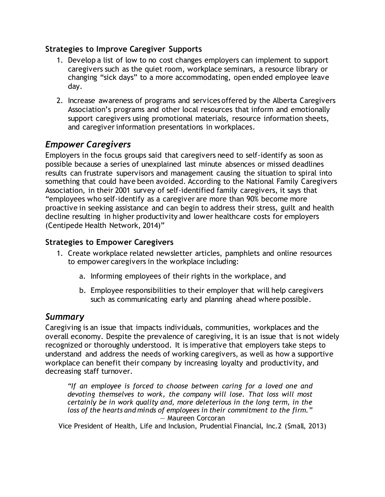## **Strategies to Improve Caregiver Supports**

- 1. Develop a list of low to no cost changes employers can implement to support caregivers such as the quiet room, workplace seminars, a resource library or changing "sick days" to a more accommodating, open ended employee leave day.
- 2. Increase awareness of programs and services offered by the Alberta Caregivers Association's programs and other local resources that inform and emotionally support caregivers using promotional materials, resource information sheets, and caregiver information presentations in workplaces.

# *Empower Caregivers*

Employers in the focus groups said that caregivers need to self-identify as soon as possible because a series of unexplained last minute absences or missed deadlines results can frustrate supervisors and management causing the situation to spiral into something that could have been avoided. According to the National Family Caregivers Association, in their 2001 survey of self-identified family caregivers, it says that "employees who self-identify as a caregiver are more than 90% become more proactive in seeking assistance and can begin to address their stress, guilt and health decline resulting in higher productivity and lower healthcare costs for employers (Centipede Health Network, 2014)"

## **Strategies to Empower Caregivers**

- 1. Create workplace related newsletter articles, pamphlets and online resources to empower caregivers in the workplace including:
	- a. Informing employees of their rights in the workplace, and
	- b. Employee responsibilities to their employer that will help caregivers such as communicating early and planning ahead where possible.

# *Summary*

Caregiving is an issue that impacts individuals, communities, workplaces and the overall economy. Despite the prevalence of caregiving, it is an issue that is not widely recognized or thoroughly understood. It is imperative that employers take steps to understand and address the needs of working caregivers, as well as how a supportive workplace can benefit their company by increasing loyalty and productivity, and decreasing staff turnover.

*"If an employee is forced to choose between caring for a loved one and devoting themselves to work, the company will lose. That loss will most certainly be in work quality and, more deleterious in the long term, in the loss of the hearts and minds of employees in their commitment to the firm."* — Maureen Corcoran

Vice President of Health, Life and Inclusion, Prudential Financial, Inc.2 (Small, 2013)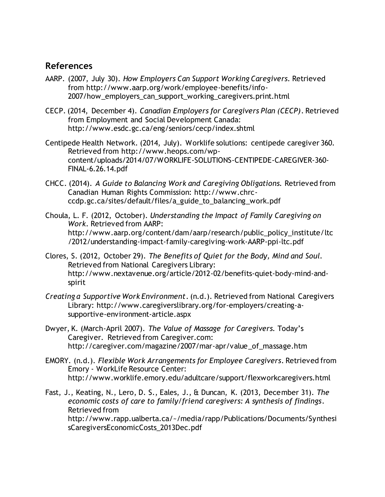#### **References**

- AARP. (2007, July 30). *How Employers Can Support Working Caregivers*. Retrieved from http://www.aarp.org/work/employee-benefits/info-2007/how\_employers\_can\_support\_working\_caregivers.print.html
- CECP. (2014, December 4). *Canadian Employers for Caregivers Plan (CECP)*. Retrieved from Employment and Social Development Canada: http://www.esdc.gc.ca/eng/seniors/cecp/index.shtml
- Centipede Health Network. (2014, July). Worklife solutions: centipede caregiver 360. Retrieved from http://www.heops.com/wpcontent/uploads/2014/07/WORKLIFE-SOLUTIONS-CENTIPEDE-CAREGIVER-360- FINAL-6.26.14.pdf
- CHCC. (2014). *A Guide to Balancing Work and Caregiving Obligations.* Retrieved from Canadian Human Rights Commission: http://www.chrcccdp.gc.ca/sites/default/files/a\_guide\_to\_balancing\_work.pdf
- Choula, L. F. (2012, October). *Understanding the Impact of Family Caregiving on Work*. Retrieved from AARP: http://www.aarp.org/content/dam/aarp/research/public\_policy\_institute/ltc /2012/understanding-impact-family-caregiving-work-AARP-ppi-ltc.pdf
- Clores, S. (2012, October 29). *The Benefits of Quiet for the Body, Mind and Soul.*  Retrieved from National Caregivers Library: http://www.nextavenue.org/article/2012-02/benefits-quiet-body-mind-andspirit
- *Creating a Supportive Work Environment*. (n.d.). Retrieved from National Caregivers Library: http://www.caregiverslibrary.org/for-employers/creating-asupportive-environment-article.aspx
- Dwyer, K. (March-April 2007). *The Value of Massage for Caregivers.* Today's Caregiver. Retrieved from Caregiver.com: http://caregiver.com/magazine/2007/mar-apr/value\_of\_massage.htm
- EMORY. (n.d.). *Flexible Work Arrangements for Employee Caregivers*. Retrieved from Emory - WorkLife Resource Center: http://www.worklife.emory.edu/adultcare/support/flexworkcaregivers.html
- Fast, J., Keating, N., Lero, D. S., Eales, J., & Duncan, K. (2013, December 31). *The economic costs of care to family/friend caregivers: A synthesis of findings*. Retrieved from http://www.rapp.ualberta.ca/~/media/rapp/Publications/Documents/Synthesi sCaregiversEconomicCosts\_2013Dec.pdf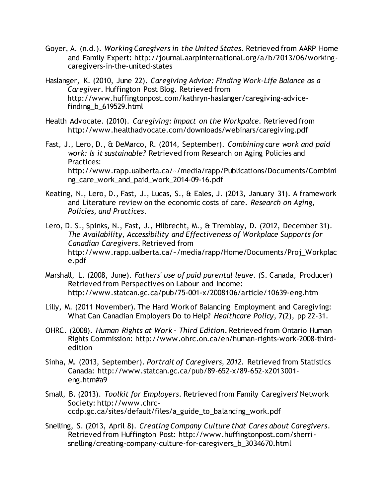- Goyer, A. (n.d.). *Working Caregivers in the United States*. Retrieved from AARP Home and Family Expert: http://journal.aarpinternational.org/a/b/2013/06/workingcaregivers-in-the-united-states
- Haslanger, K. (2010, June 22). *Caregiving Advice: Finding Work-Life Balance as a Caregiver.* Huffington Post Blog. Retrieved from http://www.huffingtonpost.com/kathryn-haslanger/caregiving-advicefinding\_b\_619529.html
- Health Advocate. (2010). *Caregiving: Impact on the Workpalce.* Retrieved from http://www.healthadvocate.com/downloads/webinars/caregiving.pdf
- Fast, J., Lero, D., & DeMarco, R. (2014, September). *Combining care work and paid work: Is it sustainable?* Retrieved from Research on Aging Policies and Practices: http://www.rapp.ualberta.ca/~/media/rapp/Publications/Documents/Combini ng care work and paid work 2014-09-16.pdf
- Keating, N., Lero, D., Fast, J., Lucas, S., & Eales, J. (2013, January 31). A framework and Literature review on the economic costs of care. *Research on Aging, Policies, and Practices*.
- Lero, D. S., Spinks, N., Fast, J., Hilbrecht, M., & Tremblay, D. (2012, December 31). *The Availability, Accessibility and Effectiveness of Workplace Supports for Canadian Caregivers*. Retrieved from http://www.rapp.ualberta.ca/~/media/rapp/Home/Documents/Proj\_Workplac e.pdf
- Marshall, L. (2008, June). *Fathers' use of paid parental leave*. (S. Canada, Producer) Retrieved from Perspectives on Labour and Income: http://www.statcan.gc.ca/pub/75-001-x/2008106/article/10639-eng.htm
- Lilly, M. (2011 November). The Hard Work of Balancing Employment and Caregiving: What Can Canadian Employers Do to Help? *Healthcare Policy*, 7(2), pp 22-31.
- OHRC. (2008). *Human Rights at Work - Third Edition*. Retrieved from Ontario Human Rights Commission: http://www.ohrc.on.ca/en/human-rights-work-2008-thirdedition
- Sinha, M. (2013, September). *Portrait of Caregivers, 2012.* Retrieved from Statistics Canada: http://www.statcan.gc.ca/pub/89-652-x/89-652-x2013001 eng.htm#a9
- Small, B. (2013). *Toolkit for Employers*. Retrieved from Family Caregivers' Network Society: http://www.chrcccdp.gc.ca/sites/default/files/a\_guide\_to\_balancing\_work.pdf
- Snelling, S. (2013, April 8). *Creating Company Culture that Cares about Caregivers*. Retrieved from Huffington Post: http://www.huffingtonpost.com/sherrisnelling/creating-company-culture-for-caregivers\_b\_3034670.html